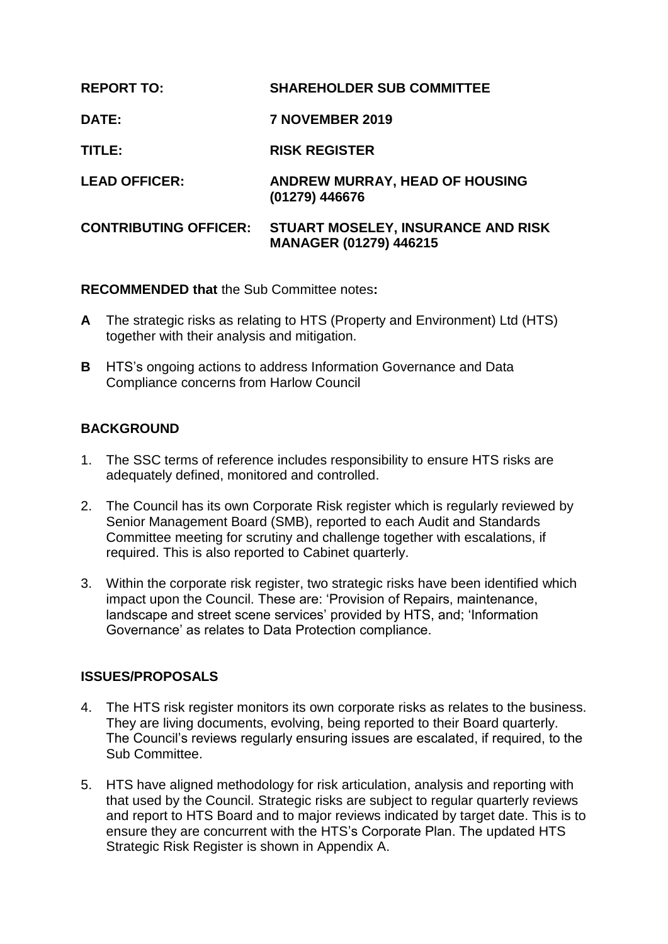| <b>REPORT TO:</b>            | <b>SHAREHOLDER SUB COMMITTEE</b>                                    |
|------------------------------|---------------------------------------------------------------------|
| <b>DATE:</b>                 | 7 NOVEMBER 2019                                                     |
| TITLE:                       | <b>RISK REGISTER</b>                                                |
| <b>LEAD OFFICER:</b>         | <b>ANDREW MURRAY, HEAD OF HOUSING</b><br>(01279) 446676             |
| <b>CONTRIBUTING OFFICER:</b> | STUART MOSELEY, INSURANCE AND RISK<br><b>MANAGER (01279) 446215</b> |

**RECOMMENDED that** the Sub Committee notes**:**

- **A** The strategic risks as relating to HTS (Property and Environment) Ltd (HTS) together with their analysis and mitigation.
- **B** HTS's ongoing actions to address Information Governance and Data Compliance concerns from Harlow Council

# **BACKGROUND**

- 1. The SSC terms of reference includes responsibility to ensure HTS risks are adequately defined, monitored and controlled.
- 2. The Council has its own Corporate Risk register which is regularly reviewed by Senior Management Board (SMB), reported to each Audit and Standards Committee meeting for scrutiny and challenge together with escalations, if required. This is also reported to Cabinet quarterly.
- 3. Within the corporate risk register, two strategic risks have been identified which impact upon the Council. These are: 'Provision of Repairs, maintenance, landscape and street scene services' provided by HTS, and; 'Information Governance' as relates to Data Protection compliance.

## **ISSUES/PROPOSALS**

- 4. The HTS risk register monitors its own corporate risks as relates to the business. They are living documents, evolving, being reported to their Board quarterly. The Council's reviews regularly ensuring issues are escalated, if required, to the Sub Committee.
- 5. HTS have aligned methodology for risk articulation, analysis and reporting with that used by the Council. Strategic risks are subject to regular quarterly reviews and report to HTS Board and to major reviews indicated by target date. This is to ensure they are concurrent with the HTS's Corporate Plan. The updated HTS Strategic Risk Register is shown in Appendix A.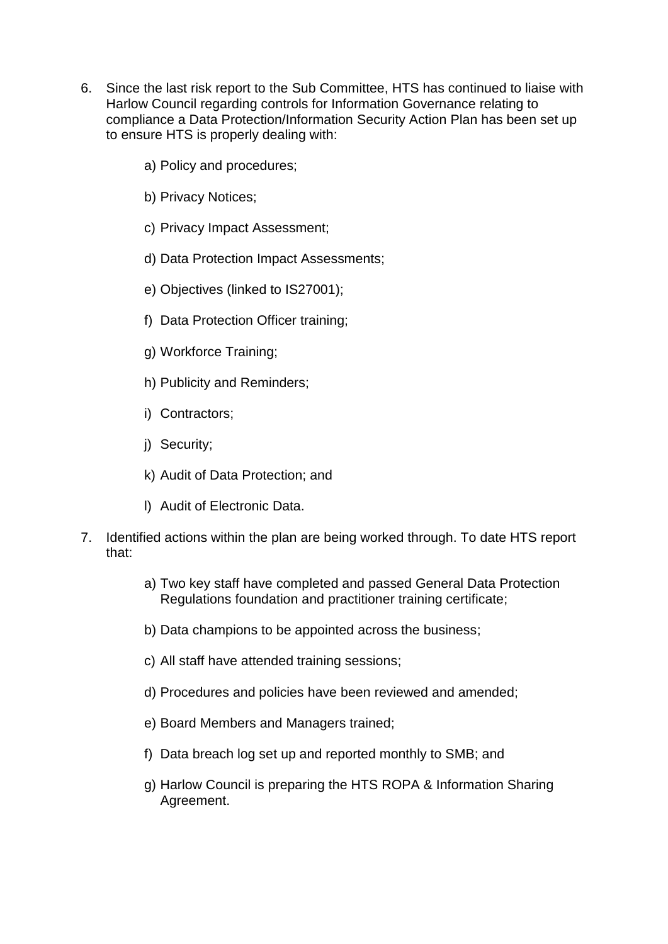- 6. Since the last risk report to the Sub Committee, HTS has continued to liaise with Harlow Council regarding controls for Information Governance relating to compliance a Data Protection/Information Security Action Plan has been set up to ensure HTS is properly dealing with:
	- a) Policy and procedures;
	- b) Privacy Notices;
	- c) Privacy Impact Assessment;
	- d) Data Protection Impact Assessments;
	- e) Objectives (linked to IS27001);
	- f) Data Protection Officer training;
	- g) Workforce Training;
	- h) Publicity and Reminders;
	- i) Contractors;
	- j) Security;
	- k) Audit of Data Protection; and
	- l) Audit of Electronic Data.
- 7. Identified actions within the plan are being worked through. To date HTS report that:
	- a) Two key staff have completed and passed General Data Protection Regulations foundation and practitioner training certificate;
	- b) Data champions to be appointed across the business;
	- c) All staff have attended training sessions;
	- d) Procedures and policies have been reviewed and amended;
	- e) Board Members and Managers trained;
	- f) Data breach log set up and reported monthly to SMB; and
	- g) Harlow Council is preparing the HTS ROPA & Information Sharing Agreement.